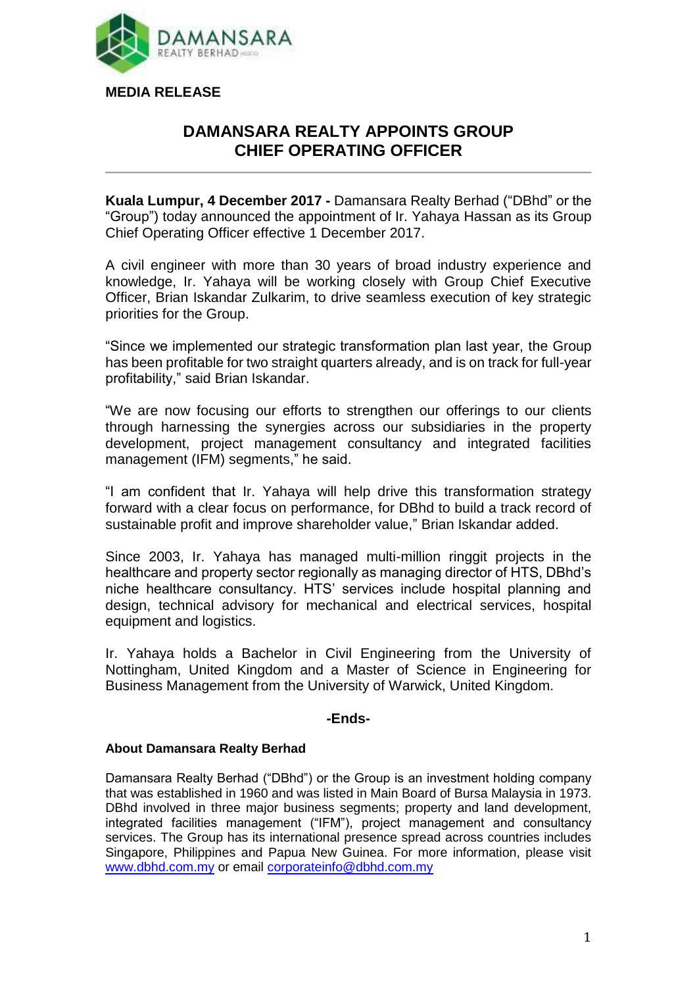

## **DAMANSARA REALTY APPOINTS GROUP CHIEF OPERATING OFFICER**

**Kuala Lumpur, 4 December 2017 -** Damansara Realty Berhad ("DBhd" or the "Group") today announced the appointment of Ir. Yahaya Hassan as its Group Chief Operating Officer effective 1 December 2017.

A civil engineer with more than 30 years of broad industry experience and knowledge, Ir. Yahaya will be working closely with Group Chief Executive Officer, Brian Iskandar Zulkarim, to drive seamless execution of key strategic priorities for the Group.

"Since we implemented our strategic transformation plan last year, the Group has been profitable for two straight quarters already, and is on track for full-year profitability," said Brian Iskandar.

"We are now focusing our efforts to strengthen our offerings to our clients through harnessing the synergies across our subsidiaries in the property development, project management consultancy and integrated facilities management (IFM) segments," he said.

"I am confident that Ir. Yahaya will help drive this transformation strategy forward with a clear focus on performance, for DBhd to build a track record of sustainable profit and improve shareholder value," Brian Iskandar added.

Since 2003, Ir. Yahaya has managed multi-million ringgit projects in the healthcare and property sector regionally as managing director of HTS, DBhd's niche healthcare consultancy. HTS' services include hospital planning and design, technical advisory for mechanical and electrical services, hospital equipment and logistics.

Ir. Yahaya holds a Bachelor in Civil Engineering from the University of Nottingham, United Kingdom and a Master of Science in Engineering for Business Management from the University of Warwick, United Kingdom.

## **-Ends-**

## **About Damansara Realty Berhad**

Damansara Realty Berhad ("DBhd") or the Group is an investment holding company that was established in 1960 and was listed in Main Board of Bursa Malaysia in 1973. DBhd involved in three major business segments; property and land development, integrated facilities management ("IFM"), project management and consultancy services. The Group has its international presence spread across countries includes Singapore, Philippines and Papua New Guinea. For more information, please visit [www.dbhd.com.my](http://www.dbhd.com.my/) or email [corporateinfo@dbhd.com.my](mailto:corporateinfo@dbhd.com.my)